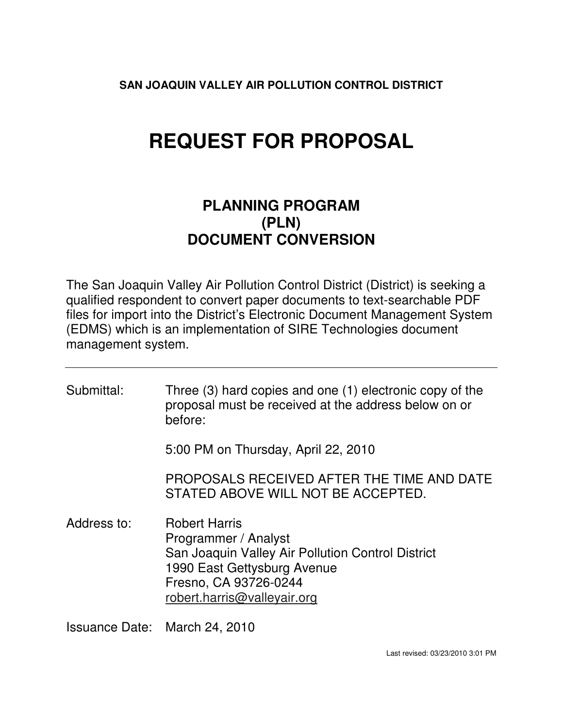**SAN JOAQUIN VALLEY AIR POLLUTION CONTROL DISTRICT** 

# **REQUEST FOR PROPOSAL**

## **PLANNING PROGRAM (PLN) DOCUMENT CONVERSION**

The San Joaquin Valley Air Pollution Control District (District) is seeking a qualified respondent to convert paper documents to text-searchable PDF files for import into the District's Electronic Document Management System (EDMS) which is an implementation of SIRE Technologies document management system.

| Submittal:  | Three (3) hard copies and one (1) electronic copy of the<br>proposal must be received at the address below on or<br>before:                                                              |
|-------------|------------------------------------------------------------------------------------------------------------------------------------------------------------------------------------------|
|             | 5:00 PM on Thursday, April 22, 2010                                                                                                                                                      |
|             | PROPOSALS RECEIVED AFTER THE TIME AND DATE<br>STATED ABOVE WILL NOT BE ACCEPTED.                                                                                                         |
| Address to: | <b>Robert Harris</b><br>Programmer / Analyst<br>San Joaquin Valley Air Pollution Control District<br>1990 East Gettysburg Avenue<br>Fresno, CA 93726-0244<br>robert.harris@valleyair.org |

Issuance Date: March 24, 2010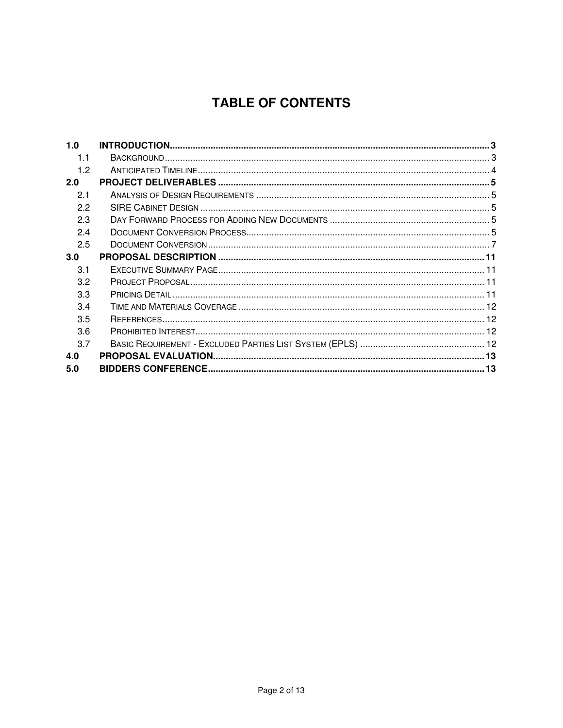# **TABLE OF CONTENTS**

| 1.0 |  |
|-----|--|
| 1.1 |  |
| 1.2 |  |
| 2.0 |  |
| 2.1 |  |
| 2.2 |  |
| 2.3 |  |
| 2.4 |  |
| 2.5 |  |
| 3.0 |  |
| 3.1 |  |
| 3.2 |  |
| 3.3 |  |
| 3.4 |  |
| 3.5 |  |
| 3.6 |  |
| 3.7 |  |
| 4.0 |  |
| 5.0 |  |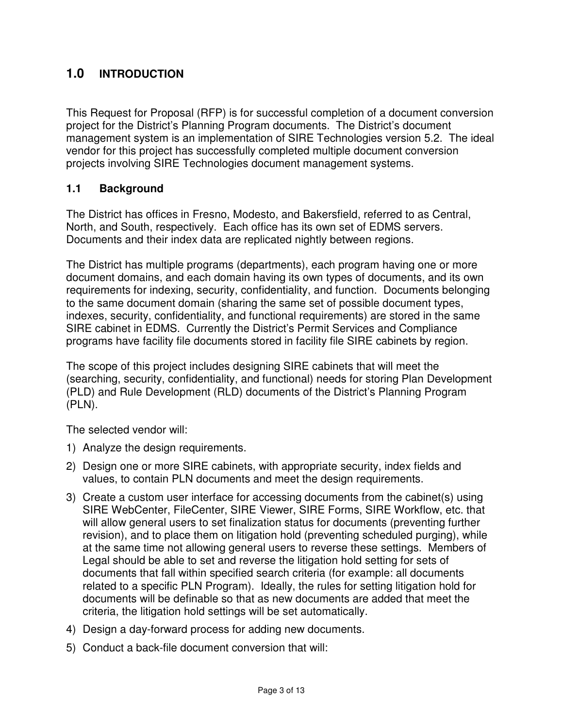## **1.0 INTRODUCTION**

This Request for Proposal (RFP) is for successful completion of a document conversion project for the District's Planning Program documents. The District's document management system is an implementation of SIRE Technologies version 5.2. The ideal vendor for this project has successfully completed multiple document conversion projects involving SIRE Technologies document management systems.

#### **1.1 Background**

The District has offices in Fresno, Modesto, and Bakersfield, referred to as Central, North, and South, respectively. Each office has its own set of EDMS servers. Documents and their index data are replicated nightly between regions.

The District has multiple programs (departments), each program having one or more document domains, and each domain having its own types of documents, and its own requirements for indexing, security, confidentiality, and function. Documents belonging to the same document domain (sharing the same set of possible document types, indexes, security, confidentiality, and functional requirements) are stored in the same SIRE cabinet in EDMS. Currently the District's Permit Services and Compliance programs have facility file documents stored in facility file SIRE cabinets by region.

The scope of this project includes designing SIRE cabinets that will meet the (searching, security, confidentiality, and functional) needs for storing Plan Development (PLD) and Rule Development (RLD) documents of the District's Planning Program (PLN).

The selected vendor will:

- 1) Analyze the design requirements.
- 2) Design one or more SIRE cabinets, with appropriate security, index fields and values, to contain PLN documents and meet the design requirements.
- 3) Create a custom user interface for accessing documents from the cabinet(s) using SIRE WebCenter, FileCenter, SIRE Viewer, SIRE Forms, SIRE Workflow, etc. that will allow general users to set finalization status for documents (preventing further revision), and to place them on litigation hold (preventing scheduled purging), while at the same time not allowing general users to reverse these settings. Members of Legal should be able to set and reverse the litigation hold setting for sets of documents that fall within specified search criteria (for example: all documents related to a specific PLN Program). Ideally, the rules for setting litigation hold for documents will be definable so that as new documents are added that meet the criteria, the litigation hold settings will be set automatically.
- 4) Design a day-forward process for adding new documents.
- 5) Conduct a back-file document conversion that will: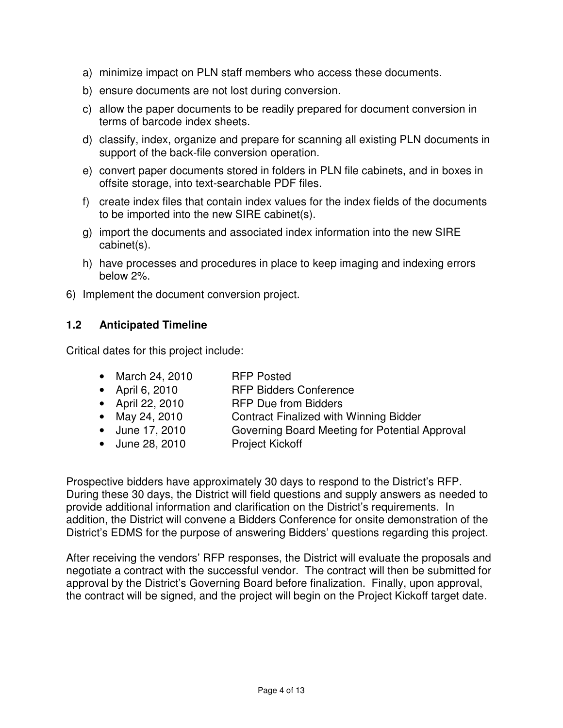- a) minimize impact on PLN staff members who access these documents.
- b) ensure documents are not lost during conversion.
- c) allow the paper documents to be readily prepared for document conversion in terms of barcode index sheets.
- d) classify, index, organize and prepare for scanning all existing PLN documents in support of the back-file conversion operation.
- e) convert paper documents stored in folders in PLN file cabinets, and in boxes in offsite storage, into text-searchable PDF files.
- f) create index files that contain index values for the index fields of the documents to be imported into the new SIRE cabinet(s).
- g) import the documents and associated index information into the new SIRE cabinet(s).
- h) have processes and procedures in place to keep imaging and indexing errors below 2%.
- 6) Implement the document conversion project.

#### **1.2 Anticipated Timeline**

Critical dates for this project include:

| • March 24, 2010 | <b>RFP Posted</b>                              |
|------------------|------------------------------------------------|
| • April 6, 2010  | <b>RFP Bidders Conference</b>                  |
| • April 22, 2010 | <b>RFP Due from Bidders</b>                    |
| • May 24, 2010   | Contract Finalized with Winning Bidder         |
| • June 17, 2010  | Governing Board Meeting for Potential Approval |
|                  |                                                |

• June 28, 2010 Project Kickoff

Prospective bidders have approximately 30 days to respond to the District's RFP. During these 30 days, the District will field questions and supply answers as needed to provide additional information and clarification on the District's requirements. In addition, the District will convene a Bidders Conference for onsite demonstration of the District's EDMS for the purpose of answering Bidders' questions regarding this project.

After receiving the vendors' RFP responses, the District will evaluate the proposals and negotiate a contract with the successful vendor. The contract will then be submitted for approval by the District's Governing Board before finalization. Finally, upon approval, the contract will be signed, and the project will begin on the Project Kickoff target date.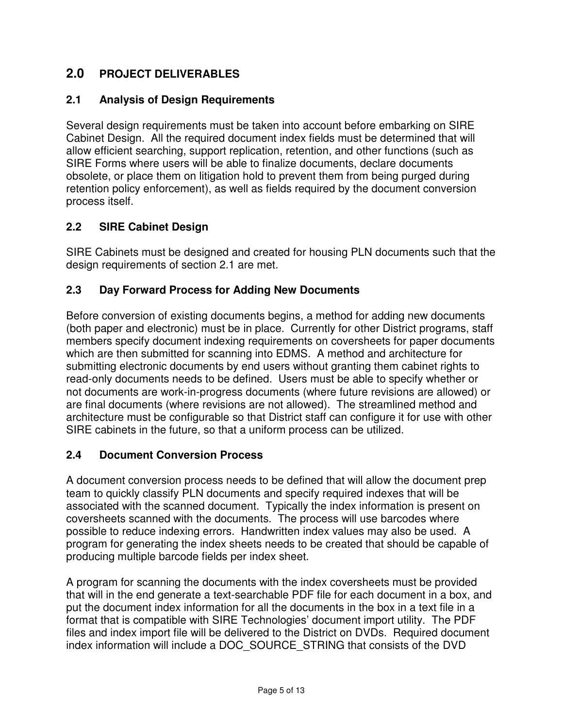## **2.0 PROJECT DELIVERABLES**

#### **2.1 Analysis of Design Requirements**

Several design requirements must be taken into account before embarking on SIRE Cabinet Design. All the required document index fields must be determined that will allow efficient searching, support replication, retention, and other functions (such as SIRE Forms where users will be able to finalize documents, declare documents obsolete, or place them on litigation hold to prevent them from being purged during retention policy enforcement), as well as fields required by the document conversion process itself.

## **2.2 SIRE Cabinet Design**

SIRE Cabinets must be designed and created for housing PLN documents such that the design requirements of section 2.1 are met.

#### **2.3 Day Forward Process for Adding New Documents**

Before conversion of existing documents begins, a method for adding new documents (both paper and electronic) must be in place. Currently for other District programs, staff members specify document indexing requirements on coversheets for paper documents which are then submitted for scanning into EDMS. A method and architecture for submitting electronic documents by end users without granting them cabinet rights to read-only documents needs to be defined. Users must be able to specify whether or not documents are work-in-progress documents (where future revisions are allowed) or are final documents (where revisions are not allowed). The streamlined method and architecture must be configurable so that District staff can configure it for use with other SIRE cabinets in the future, so that a uniform process can be utilized.

#### **2.4 Document Conversion Process**

A document conversion process needs to be defined that will allow the document prep team to quickly classify PLN documents and specify required indexes that will be associated with the scanned document. Typically the index information is present on coversheets scanned with the documents. The process will use barcodes where possible to reduce indexing errors. Handwritten index values may also be used. A program for generating the index sheets needs to be created that should be capable of producing multiple barcode fields per index sheet.

A program for scanning the documents with the index coversheets must be provided that will in the end generate a text-searchable PDF file for each document in a box, and put the document index information for all the documents in the box in a text file in a format that is compatible with SIRE Technologies' document import utility. The PDF files and index import file will be delivered to the District on DVDs. Required document index information will include a DOC\_SOURCE\_STRING that consists of the DVD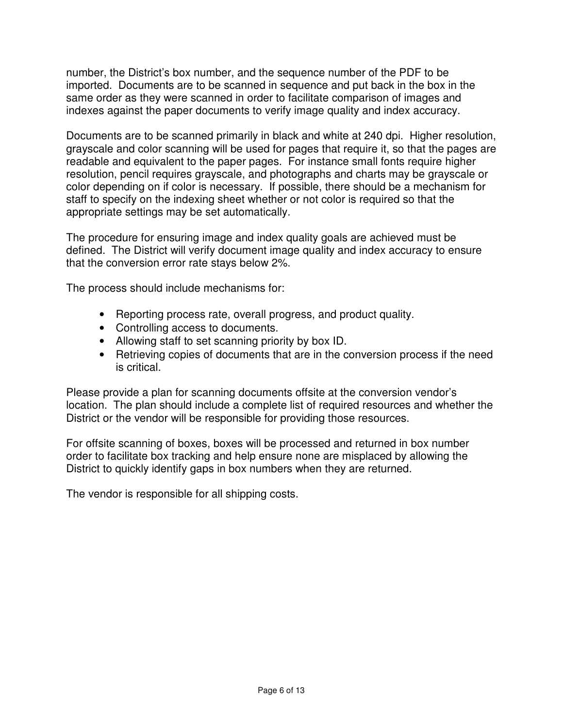number, the District's box number, and the sequence number of the PDF to be imported. Documents are to be scanned in sequence and put back in the box in the same order as they were scanned in order to facilitate comparison of images and indexes against the paper documents to verify image quality and index accuracy.

Documents are to be scanned primarily in black and white at 240 dpi. Higher resolution, grayscale and color scanning will be used for pages that require it, so that the pages are readable and equivalent to the paper pages. For instance small fonts require higher resolution, pencil requires grayscale, and photographs and charts may be grayscale or color depending on if color is necessary. If possible, there should be a mechanism for staff to specify on the indexing sheet whether or not color is required so that the appropriate settings may be set automatically.

The procedure for ensuring image and index quality goals are achieved must be defined. The District will verify document image quality and index accuracy to ensure that the conversion error rate stays below 2%.

The process should include mechanisms for:

- Reporting process rate, overall progress, and product quality.
- Controlling access to documents.
- Allowing staff to set scanning priority by box ID.
- Retrieving copies of documents that are in the conversion process if the need is critical.

Please provide a plan for scanning documents offsite at the conversion vendor's location. The plan should include a complete list of required resources and whether the District or the vendor will be responsible for providing those resources.

For offsite scanning of boxes, boxes will be processed and returned in box number order to facilitate box tracking and help ensure none are misplaced by allowing the District to quickly identify gaps in box numbers when they are returned.

The vendor is responsible for all shipping costs.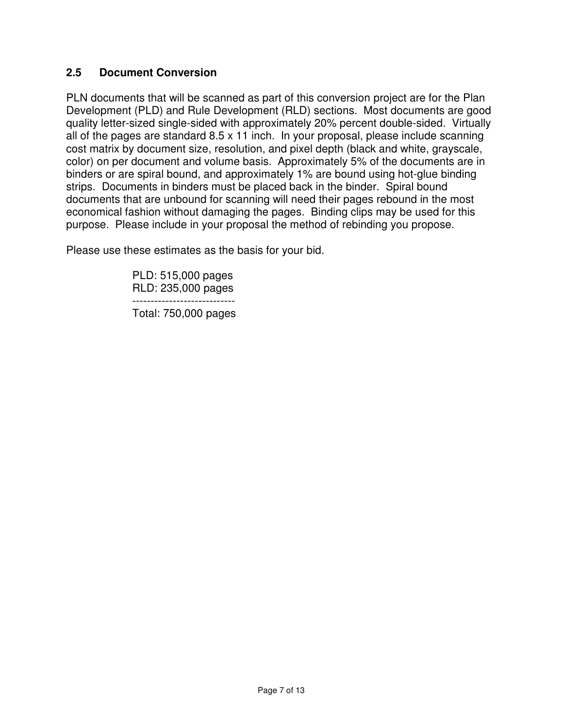#### **2.5 Document Conversion**

PLN documents that will be scanned as part of this conversion project are for the Plan Development (PLD) and Rule Development (RLD) sections. Most documents are good quality letter-sized single-sided with approximately 20% percent double-sided. Virtually all of the pages are standard 8.5 x 11 inch. In your proposal, please include scanning cost matrix by document size, resolution, and pixel depth (black and white, grayscale, color) on per document and volume basis. Approximately 5% of the documents are in binders or are spiral bound, and approximately 1% are bound using hot-glue binding strips. Documents in binders must be placed back in the binder. Spiral bound documents that are unbound for scanning will need their pages rebound in the most economical fashion without damaging the pages. Binding clips may be used for this purpose. Please include in your proposal the method of rebinding you propose.

Please use these estimates as the basis for your bid.

PLD: 515,000 pages RLD: 235,000 pages Total: 750,000 pages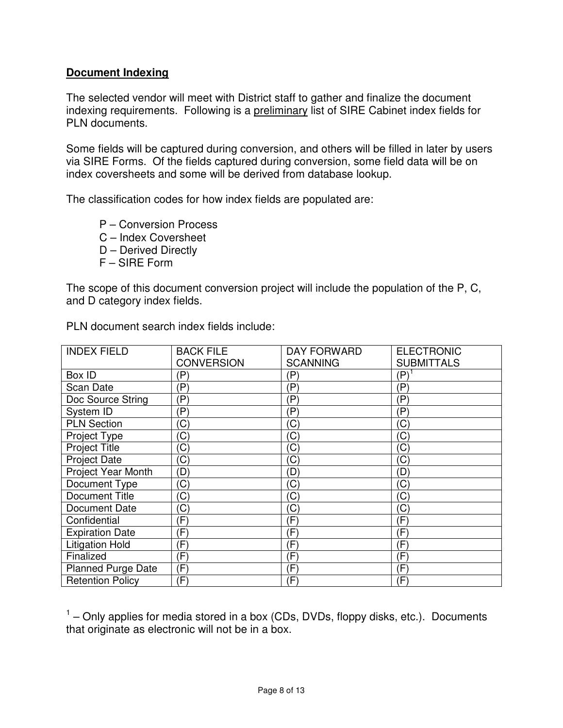#### **Document Indexing**

The selected vendor will meet with District staff to gather and finalize the document indexing requirements. Following is a preliminary list of SIRE Cabinet index fields for PLN documents.

Some fields will be captured during conversion, and others will be filled in later by users via SIRE Forms. Of the fields captured during conversion, some field data will be on index coversheets and some will be derived from database lookup.

The classification codes for how index fields are populated are:

- P Conversion Process
- C Index Coversheet
- D Derived Directly
- F SIRE Form

The scope of this document conversion project will include the population of the P, C, and D category index fields.

| <b>INDEX FIELD</b>        | <b>BACK FILE</b>  | DAY FORWARD     | <b>ELECTRONIC</b> |
|---------------------------|-------------------|-----------------|-------------------|
|                           | <b>CONVERSION</b> | <b>SCANNING</b> | <b>SUBMITTALS</b> |
| Box ID                    | $(\mathsf{P})$    | P)              | (P)               |
| Scan Date                 | (P)               | Έ               | $(\mathsf{P})$    |
| Doc Source String         | $(\mathsf{P})$    | P)              | $(\mathsf{P})$    |
| System ID                 | (P                | (P              | $(\mathsf{P})$    |
| <b>PLN Section</b>        | ΄C                | C               | (C                |
| Project Type              | $\left( $         | 'C              | (C)               |
| <b>Project Title</b>      | (C)               | ΄C              | (C)               |
| <b>Project Date</b>       | (C)               | (C              | (C)               |
| Project Year Month        | (D)               | (D)             | (D)               |
| Document Type             | $\rm ^{\prime}C$  | C               | $(\mathsf{C})$    |
| <b>Document Title</b>     | C)                | C               | (C)               |
| Document Date             | C)                | C               | (C)               |
| Confidential              | (F)               | (F              | (F)               |
| <b>Expiration Date</b>    | (F)               | (F              | $(\mathsf{F})$    |
| <b>Litigation Hold</b>    | (F)               | (F              | (F)               |
| Finalized                 | (F)               | (F              | $(\mathsf{F})$    |
| <b>Planned Purge Date</b> | (F)               | (F              | $(\mathsf{F})$    |
| <b>Retention Policy</b>   | (F)               | $(\mathsf{F})$  | (F)               |

PLN document search index fields include:

 $1 -$  Only applies for media stored in a box (CDs, DVDs, floppy disks, etc.). Documents that originate as electronic will not be in a box.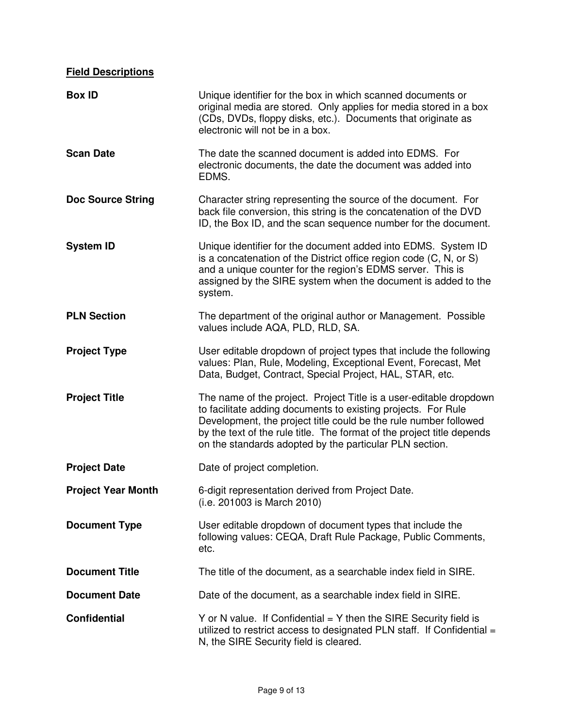#### **Field Descriptions**

| <b>Box ID</b>             | Unique identifier for the box in which scanned documents or<br>original media are stored. Only applies for media stored in a box<br>(CDs, DVDs, floppy disks, etc.). Documents that originate as<br>electronic will not be in a box.                                                                                                         |
|---------------------------|----------------------------------------------------------------------------------------------------------------------------------------------------------------------------------------------------------------------------------------------------------------------------------------------------------------------------------------------|
| <b>Scan Date</b>          | The date the scanned document is added into EDMS. For<br>electronic documents, the date the document was added into<br>EDMS.                                                                                                                                                                                                                 |
| <b>Doc Source String</b>  | Character string representing the source of the document. For<br>back file conversion, this string is the concatenation of the DVD<br>ID, the Box ID, and the scan sequence number for the document.                                                                                                                                         |
| <b>System ID</b>          | Unique identifier for the document added into EDMS. System ID<br>is a concatenation of the District office region code (C, N, or S)<br>and a unique counter for the region's EDMS server. This is<br>assigned by the SIRE system when the document is added to the<br>system.                                                                |
| <b>PLN Section</b>        | The department of the original author or Management. Possible<br>values include AQA, PLD, RLD, SA.                                                                                                                                                                                                                                           |
| <b>Project Type</b>       | User editable dropdown of project types that include the following<br>values: Plan, Rule, Modeling, Exceptional Event, Forecast, Met<br>Data, Budget, Contract, Special Project, HAL, STAR, etc.                                                                                                                                             |
| <b>Project Title</b>      | The name of the project. Project Title is a user-editable dropdown<br>to facilitate adding documents to existing projects. For Rule<br>Development, the project title could be the rule number followed<br>by the text of the rule title. The format of the project title depends<br>on the standards adopted by the particular PLN section. |
| <b>Project Date</b>       | Date of project completion.                                                                                                                                                                                                                                                                                                                  |
| <b>Project Year Month</b> | 6-digit representation derived from Project Date.<br>$(i.e. 201003$ is March 2010)                                                                                                                                                                                                                                                           |
| <b>Document Type</b>      | User editable dropdown of document types that include the<br>following values: CEQA, Draft Rule Package, Public Comments,<br>etc.                                                                                                                                                                                                            |
| <b>Document Title</b>     | The title of the document, as a searchable index field in SIRE.                                                                                                                                                                                                                                                                              |
| <b>Document Date</b>      | Date of the document, as a searchable index field in SIRE.                                                                                                                                                                                                                                                                                   |
| <b>Confidential</b>       | Y or N value. If Confidential $=$ Y then the SIRE Security field is<br>utilized to restrict access to designated PLN staff. If Confidential =<br>N, the SIRE Security field is cleared.                                                                                                                                                      |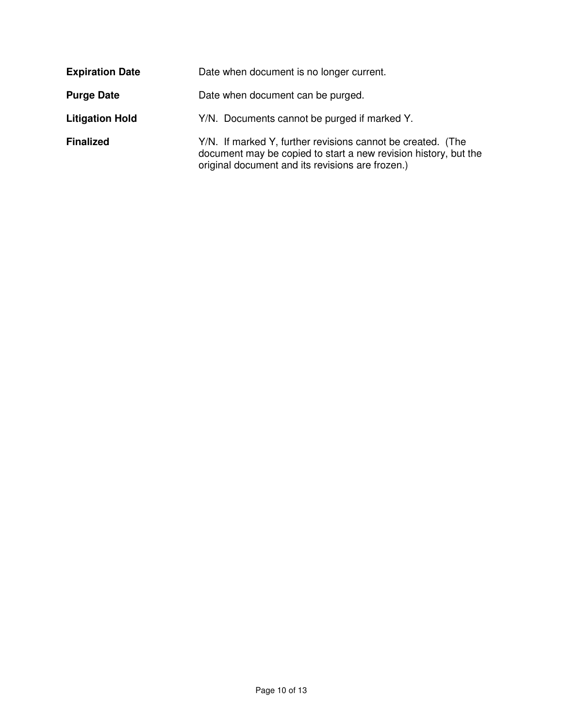| <b>Expiration Date</b> | Date when document is no longer current.                                                                                                                                           |
|------------------------|------------------------------------------------------------------------------------------------------------------------------------------------------------------------------------|
| <b>Purge Date</b>      | Date when document can be purged.                                                                                                                                                  |
| <b>Litigation Hold</b> | Y/N. Documents cannot be purged if marked Y.                                                                                                                                       |
| <b>Finalized</b>       | Y/N. If marked Y, further revisions cannot be created. (The<br>document may be copied to start a new revision history, but the<br>original document and its revisions are frozen.) |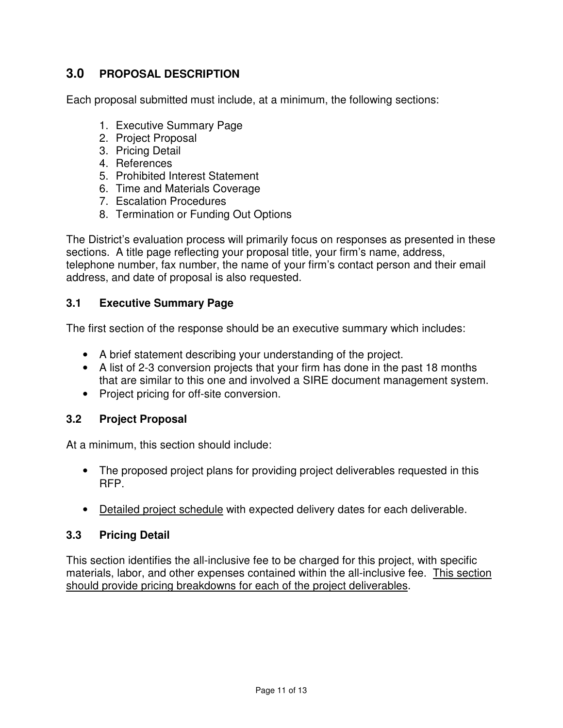## **3.0 PROPOSAL DESCRIPTION**

Each proposal submitted must include, at a minimum, the following sections:

- 1. Executive Summary Page
- 2. Project Proposal
- 3. Pricing Detail
- 4. References
- 5. Prohibited Interest Statement
- 6. Time and Materials Coverage
- 7. Escalation Procedures
- 8. Termination or Funding Out Options

The District's evaluation process will primarily focus on responses as presented in these sections. A title page reflecting your proposal title, your firm's name, address, telephone number, fax number, the name of your firm's contact person and their email address, and date of proposal is also requested.

#### **3.1 Executive Summary Page**

The first section of the response should be an executive summary which includes:

- A brief statement describing your understanding of the project.
- A list of 2-3 conversion projects that your firm has done in the past 18 months that are similar to this one and involved a SIRE document management system.
- Project pricing for off-site conversion.

#### **3.2 Project Proposal**

At a minimum, this section should include:

- The proposed project plans for providing project deliverables requested in this RFP.
- Detailed project schedule with expected delivery dates for each deliverable.

#### **3.3 Pricing Detail**

This section identifies the all-inclusive fee to be charged for this project, with specific materials, labor, and other expenses contained within the all-inclusive fee. This section should provide pricing breakdowns for each of the project deliverables.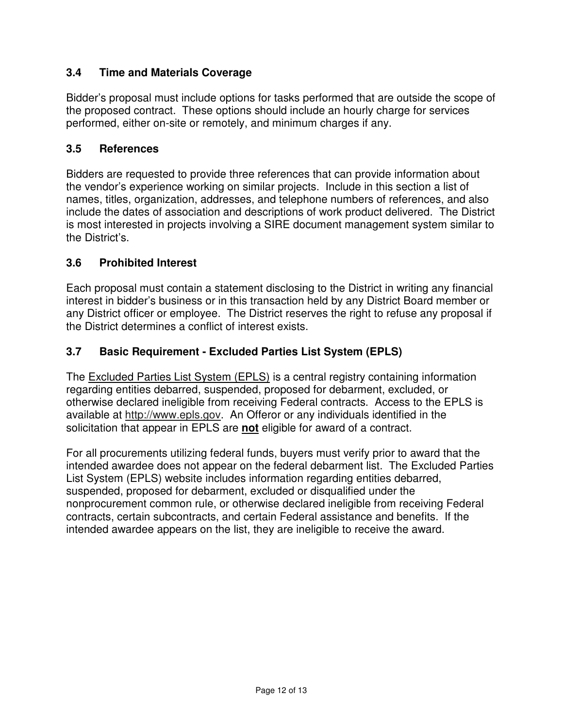## **3.4 Time and Materials Coverage**

Bidder's proposal must include options for tasks performed that are outside the scope of the proposed contract. These options should include an hourly charge for services performed, either on-site or remotely, and minimum charges if any.

#### **3.5 References**

Bidders are requested to provide three references that can provide information about the vendor's experience working on similar projects. Include in this section a list of names, titles, organization, addresses, and telephone numbers of references, and also include the dates of association and descriptions of work product delivered. The District is most interested in projects involving a SIRE document management system similar to the District's.

#### **3.6 Prohibited Interest**

Each proposal must contain a statement disclosing to the District in writing any financial interest in bidder's business or in this transaction held by any District Board member or any District officer or employee. The District reserves the right to refuse any proposal if the District determines a conflict of interest exists.

#### **3.7 Basic Requirement - Excluded Parties List System (EPLS)**

The Excluded Parties List System (EPLS) is a central registry containing information regarding entities debarred, suspended, proposed for debarment, excluded, or otherwise declared ineligible from receiving Federal contracts. Access to the EPLS is available at http://www.epls.gov. An Offeror or any individuals identified in the solicitation that appear in EPLS are **not** eligible for award of a contract.

For all procurements utilizing federal funds, buyers must verify prior to award that the intended awardee does not appear on the federal debarment list. The Excluded Parties List System (EPLS) website includes information regarding entities debarred, suspended, proposed for debarment, excluded or disqualified under the nonprocurement common rule, or otherwise declared ineligible from receiving Federal contracts, certain subcontracts, and certain Federal assistance and benefits. If the intended awardee appears on the list, they are ineligible to receive the award.